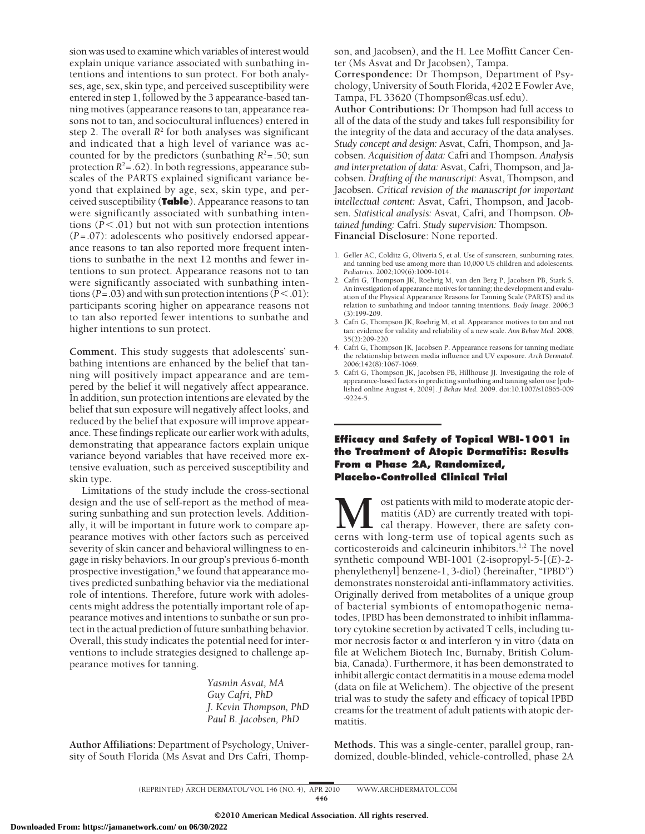sion was used to examine which variables of interest would explain unique variance associated with sunbathing intentions and intentions to sun protect. For both analyses, age, sex, skin type, and perceived susceptibility were entered in step 1, followed by the 3 appearance-based tanning motives (appearance reasons to tan, appearance reasons not to tan, and sociocultural influences) entered in step 2. The overall  $R^2$  for both analyses was significant and indicated that a high level of variance was accounted for by the predictors (sunbathing  $R^2$ =.50; sun protection  $R^2$ =.62). In both regressions, appearance subscales of the PARTS explained significant variance beyond that explained by age, sex, skin type, and perceived susceptibility (**Table**). Appearance reasons to tan were significantly associated with sunbathing intentions  $(P < .01)$  but not with sun protection intentions (*P*=.07): adolescents who positively endorsed appearance reasons to tan also reported more frequent intentions to sunbathe in the next 12 months and fewer intentions to sun protect. Appearance reasons not to tan were significantly associated with sunbathing intentions ( $P = .03$ ) and with sun protection intentions ( $P < .01$ ): participants scoring higher on appearance reasons not to tan also reported fewer intentions to sunbathe and higher intentions to sun protect.

**Comment.** This study suggests that adolescents' sunbathing intentions are enhanced by the belief that tanning will positively impact appearance and are tempered by the belief it will negatively affect appearance. In addition, sun protection intentions are elevated by the belief that sun exposure will negatively affect looks, and reduced by the belief that exposure will improve appearance. These findings replicate our earlier work with adults, demonstrating that appearance factors explain unique variance beyond variables that have received more extensive evaluation, such as perceived susceptibility and skin type.

Limitations of the study include the cross-sectional design and the use of self-report as the method of measuring sunbathing and sun protection levels. Additionally, it will be important in future work to compare appearance motives with other factors such as perceived severity of skin cancer and behavioral willingness to engage in risky behaviors. In our group's previous 6-month prospective investigation, $5$  we found that appearance motives predicted sunbathing behavior via the mediational role of intentions. Therefore, future work with adolescents might address the potentially important role of appearance motives and intentions to sunbathe or sun protect in the actual prediction of future sunbathing behavior. Overall, this study indicates the potential need for interventions to include strategies designed to challenge appearance motives for tanning.

> *Yasmin Asvat, MA Guy Cafri, PhD J. Kevin Thompson, PhD Paul B. Jacobsen, PhD*

**Author Affiliations:** Department of Psychology, University of South Florida (Ms Asvat and Drs Cafri, Thompson, and Jacobsen), and the H. Lee Moffitt Cancer Center (Ms Asvat and Dr Jacobsen), Tampa.

**Correspondence:** Dr Thompson, Department of Psychology, University of South Florida, 4202 E Fowler Ave, Tampa, FL 33620 (Thompson@cas.usf.edu).

**Author Contributions:** Dr Thompson had full access to all of the data of the study and takes full responsibility for the integrity of the data and accuracy of the data analyses. *Study concept and design:* Asvat, Cafri, Thompson, and Jacobsen. *Acquisition of data:* Cafri and Thompson. *Analysis and interpretation of data:* Asvat, Cafri, Thompson, and Jacobsen. *Drafting of the manuscript:* Asvat, Thompson, and Jacobsen. *Critical revision of the manuscript for important intellectual content:* Asvat, Cafri, Thompson, and Jacobsen. *Statistical analysis:* Asvat, Cafri, and Thompson. *Obtained funding:* Cafri. *Study supervision:* Thompson. **Financial Disclosure**: None reported.

- 1. Geller AC, Colditz G, Oliveria S, et al. Use of sunscreen, sunburning rates, and tanning bed use among more than 10,000 US children and adolescents. *Pediatrics*. 2002;109(6):1009-1014.
- 2. Cafri G, Thompson JK, Roehrig M, van den Berg P, Jacobsen PB, Stark S. An investigation of appearance motives for tanning: the development and evaluation of the Physical Appearance Reasons for Tanning Scale (PARTS) and its relation to sunbathing and indoor tanning intentions. *Body Image*. 2006;3 (3):199-209.
- 3. Cafri G, Thompson JK, Roehrig M, et al. Appearance motives to tan and not tan: evidence for validity and reliability of a new scale. *Ann Behav Med*. 2008; 35(2):209-220.
- 4. Cafri G, Thompson JK, Jacobsen P. Appearance reasons for tanning mediate the relationship between media influence and UV exposure. *Arch Dermatol*. 2006;142(8):1067-1069.
- 5. Cafri G, Thompson JK, Jacobsen PB, Hillhouse JJ. Investigating the role of appearance-based factors in predicting sunbathing and tanning salon use [published online August 4, 2009]. *J Behav Med*. 2009. doi:10.1007/s10865-009 -9224-5.

## **Efficacy and Safety of Topical WBI-1001 in the Treatment of Atopic Dermatitis: Results From a Phase 2A, Randomized, Placebo-Controlled Clinical Trial**

**M** ost patients with mild to moderate atopic dermatitis (AD) are currently treated with topicent cal therapy. However, there are safety concerns with long-term use of topical agents such as matitis (AD) are currently treated with topical therapy. However, there are safety concorticosteroids and calcineurin inhibitors.1,2 The novel synthetic compound WBI-1001 (2-isopropyl-5-[(*E*)-2 phenylethenyl] benzene-1, 3-diol) (hereinafter, "IPBD") demonstrates nonsteroidal anti-inflammatory activities. Originally derived from metabolites of a unique group of bacterial symbionts of entomopathogenic nematodes, IPBD has been demonstrated to inhibit inflammatory cytokine secretion by activated T cells, including tumor necrosis factor  $\alpha$  and interferon  $\gamma$  in vitro (data on file at Welichem Biotech Inc, Burnaby, British Columbia, Canada). Furthermore, it has been demonstrated to inhibit allergic contact dermatitis in a mouse edema model (data on file at Welichem). The objective of the present trial was to study the safety and efficacy of topical IPBD creams for the treatment of adult patients with atopic dermatitis.

**Methods.** This was a single-center, parallel group, randomized, double-blinded, vehicle-controlled, phase 2A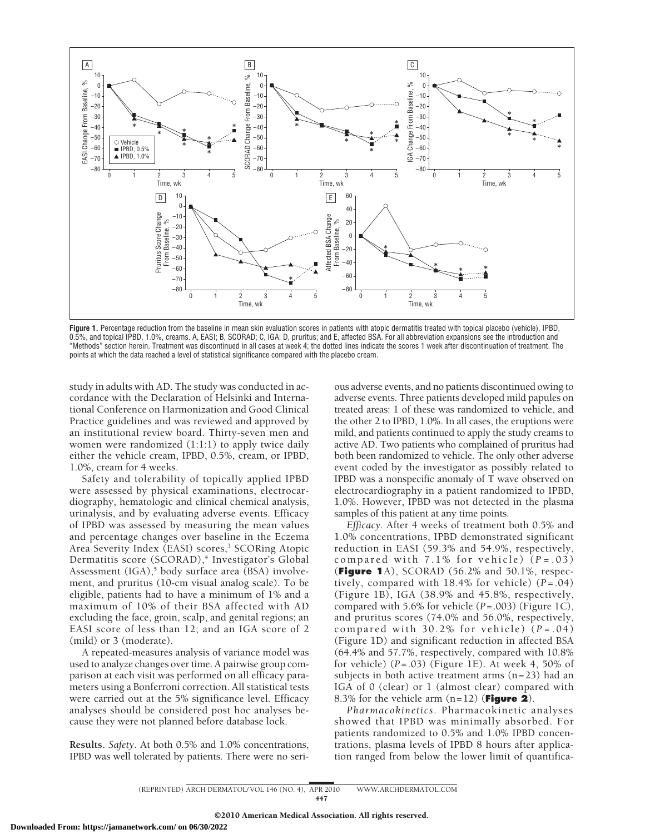

**Figure 1.** Percentage reduction from the baseline in mean skin evaluation scores in patients with atopic dermatitis treated with topical placebo (vehicle), IPBD, 0.5%, and topical IPBD, 1.0%, creams. A, EASI; B, SCORAD; C, IGA; D, pruritus; and E, affected BSA. For all abbreviation expansions see the introduction and "Methods" section herein. Treatment was discontinued in all cases at week 4; the dotted lines indicate the scores 1 week after discontinuation of treatment. The points at which the data reached a level of statistical significance compared with the placebo cream.

study in adults with AD. The study was conducted in accordance with the Declaration of Helsinki and International Conference on Harmonization and Good Clinical Practice guidelines and was reviewed and approved by an institutional review board. Thirty-seven men and women were randomized (1:1:1) to apply twice daily either the vehicle cream, IPBD, 0.5%, cream, or IPBD, 1.0%, cream for 4 weeks.

Safety and tolerability of topically applied IPBD were assessed by physical examinations, electrocardiography, hematologic and clinical chemical analysis, urinalysis, and by evaluating adverse events. Efficacy of IPBD was assessed by measuring the mean values and percentage changes over baseline in the Eczema Area Severity Index (EASI) scores,<sup>3</sup> SCORing Atopic Dermatitis score (SCORAD),<sup>4</sup> Investigator's Global Assessment (IGA),<sup>5</sup> body surface area (BSA) involvement, and pruritus (10-cm visual analog scale). To be eligible, patients had to have a minimum of 1% and a maximum of 10% of their BSA affected with AD excluding the face, groin, scalp, and genital regions; an EASI score of less than 12; and an IGA score of 2 (mild) or 3 (moderate).

A repeated-measures analysis of variance model was used to analyze changes over time. A pairwise group comparison at each visit was performed on all efficacy parameters using a Bonferroni correction. All statistical tests were carried out at the 5% significance level. Efficacy analyses should be considered post hoc analyses because they were not planned before database lock.

**Results.** *Safety*. At both 0.5% and 1.0% concentrations, IPBD was well tolerated by patients. There were no serious adverse events, and no patients discontinued owing to adverse events. Three patients developed mild papules on treated areas: 1 of these was randomized to vehicle, and the other 2 to IPBD, 1.0%. In all cases, the eruptions were mild, and patients continued to apply the study creams to active AD. Two patients who complained of pruritus had both been randomized to vehicle. The only other adverse event coded by the investigator as possibly related to IPBD was a nonspecific anomaly of T wave observed on electrocardiography in a patient randomized to IPBD, 1.0%. However, IPBD was not detected in the plasma samples of this patient at any time points.

*Efficacy*. After 4 weeks of treatment both 0.5% and 1.0% concentrations, IPBD demonstrated significant reduction in EASI (59.3% and 54.9%, respectively, compared with 7.1% for vehicle) ( *P* =.03) (**Figure 1**A), SCORAD (56.2% and 50.1%, respectively, compared with  $18.4\%$  for vehicle)  $(P=.04)$ (Figure 1B), IGA (38.9% and 45.8%, respectively, compared with 5.6% for vehicle (*P*=.003) (Figure 1C), and pruritus scores (74.0% and 56.0%, respectively, compared with  $30.2\%$  for vehicle)  $(P=.04)$ (Figure 1D) and significant reduction in affected BSA (64.4% and 57.7%, respectively, compared with 10.8% for vehicle) (*P*=.03) (Figure 1E). At week 4, 50% of subjects in both active treatment arms (n=23) had an IGA of 0 (clear) or 1 (almost clear) compared with 8.3% for the vehicle arm (n=12) (**Figure 2**).

*Pharmacokinetics*. Pharmacokinetic analyses showed that IPBD was minimally absorbed. For patients randomized to 0.5% and 1.0% IPBD concentrations, plasma levels of IPBD 8 hours after application ranged from below the lower limit of quantifica-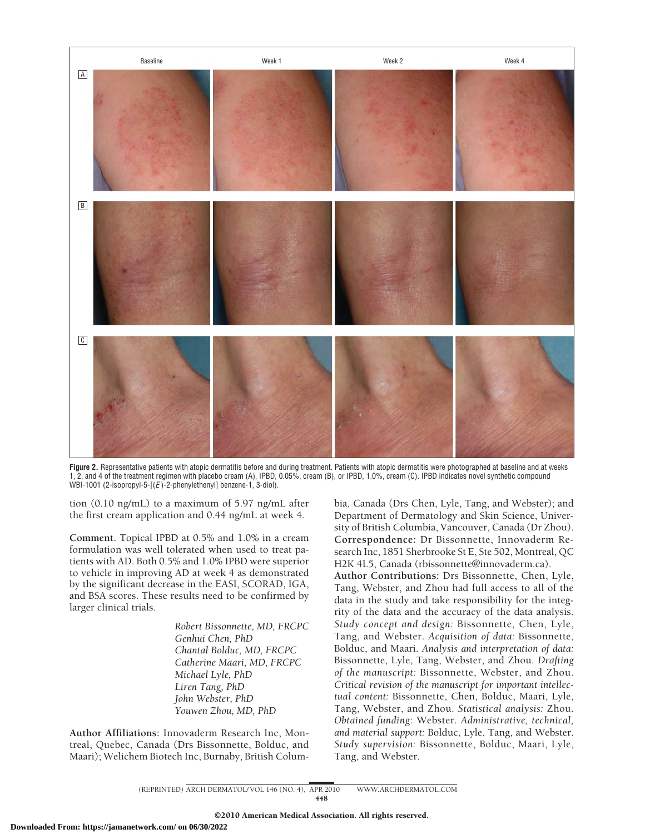

Figure 2. Representative patients with atopic dermatitis before and during treatment. Patients with atopic dermatitis were photographed at baseline and at weeks 1, 2, and 4 of the treatment regimen with placebo cream (A), IPBD, 0.05%, cream (B), or IPBD, 1.0%, cream (C). IPBD indicates novel synthetic compound WBI-1001 (2-isopropyl-5-[(*E* )-2-phenylethenyl] benzene-1, 3-diol).

tion (0.10 ng/mL) to a maximum of 5.97 ng/mL after the first cream application and 0.44 ng/mL at week 4.

**Comment.** Topical IPBD at 0.5% and 1.0% in a cream formulation was well tolerated when used to treat patients with AD. Both 0.5% and 1.0% IPBD were superior to vehicle in improving AD at week 4 as demonstrated by the significant decrease in the EASI, SCORAD, IGA, and BSA scores. These results need to be confirmed by larger clinical trials.

> *Robert Bissonnette, MD, FRCPC Genhui Chen, PhD Chantal Bolduc, MD, FRCPC Catherine Maari, MD, FRCPC Michael Lyle, PhD Liren Tang, PhD John Webster, PhD Youwen Zhou, MD, PhD*

**Author Affiliations:** Innovaderm Research Inc, Montreal, Quebec, Canada (Drs Bissonnette, Bolduc, and Maari); Welichem Biotech Inc, Burnaby, British Columbia, Canada (Drs Chen, Lyle, Tang, and Webster); and Department of Dermatology and Skin Science, University of British Columbia, Vancouver, Canada (Dr Zhou). **Correspondence:** Dr Bissonnette, Innovaderm Research Inc, 1851 Sherbrooke St E, Ste 502, Montreal, QC H2K 4L5, Canada (rbissonnette@innovaderm.ca).

**Author Contributions:** Drs Bissonnette, Chen, Lyle, Tang, Webster, and Zhou had full access to all of the data in the study and take responsibility for the integrity of the data and the accuracy of the data analysis. *Study concept and design:* Bissonnette, Chen, Lyle, Tang, and Webster. *Acquisition of data:* Bissonnette, Bolduc, and Maari. *Analysis and interpretation of data:* Bissonnette, Lyle, Tang, Webster, and Zhou. *Drafting of the manuscript:* Bissonnette, Webster, and Zhou. *Critical revision of the manuscript for important intellectual content:* Bissonnette, Chen, Bolduc, Maari, Lyle, Tang, Webster, and Zhou. *Statistical analysis:* Zhou. *Obtained funding:* Webster. *Administrative, technical, and material support:* Bolduc, Lyle, Tang, and Webster. *Study supervision:* Bissonnette, Bolduc, Maari, Lyle, Tang, and Webster.